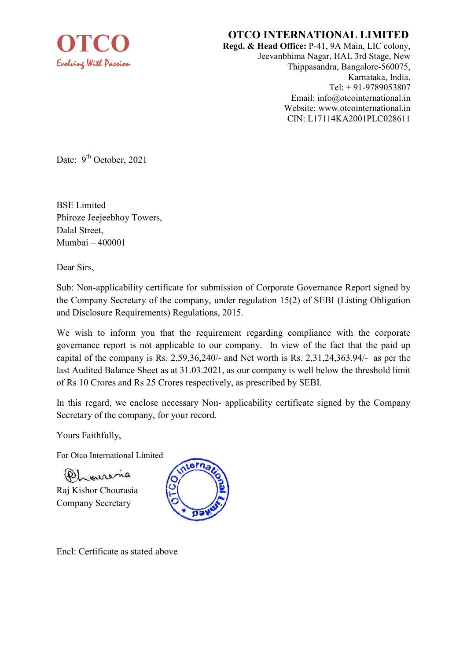

## OTCO INTERNATIONAL LIMITED

Regd. & Head Office: P-41, 9A Main, LIC colony, Jeevanbhima Nagar, HAL 3rd Stage, New Thippasandra, Bangalore-560075, Karnataka, India. Tel: + 91-9789053807 Email: info@otcointernational.in Website: www.otcointernational.in CIN: L17114KA2001PLC028611

Date:  $9^{th}$  October, 2021

BSE Limited Phiroze Jeejeebhoy Towers, Dalal Street, Mumbai – 400001

Dear Sirs,

Sub: Non-applicability certificate for submission of Corporate Governance Report signed by the Company Secretary of the company, under regulation 15(2) of SEBI (Listing Obligation and Disclosure Requirements) Regulations, 2015.

We wish to inform you that the requirement regarding compliance with the corporate governance report is not applicable to our company. In view of the fact that the paid up capital of the company is Rs. 2,59,36,240/- and Net worth is Rs. 2,31,24,363.94/- as per the last Audited Balance Sheet as at 31.03.2021, as our company is well below the threshold limit of Rs 10 Crores and Rs 25 Crores respectively, as prescribed by SEBI.

In this regard, we enclose necessary Non- applicability certificate signed by the Company Secretary of the company, for your record.

Yours Faithfully,

For Otco International Limited

 $(P)$  means

Raj Kishor Chourasia Company Secretary



Encl: Certificate as stated above